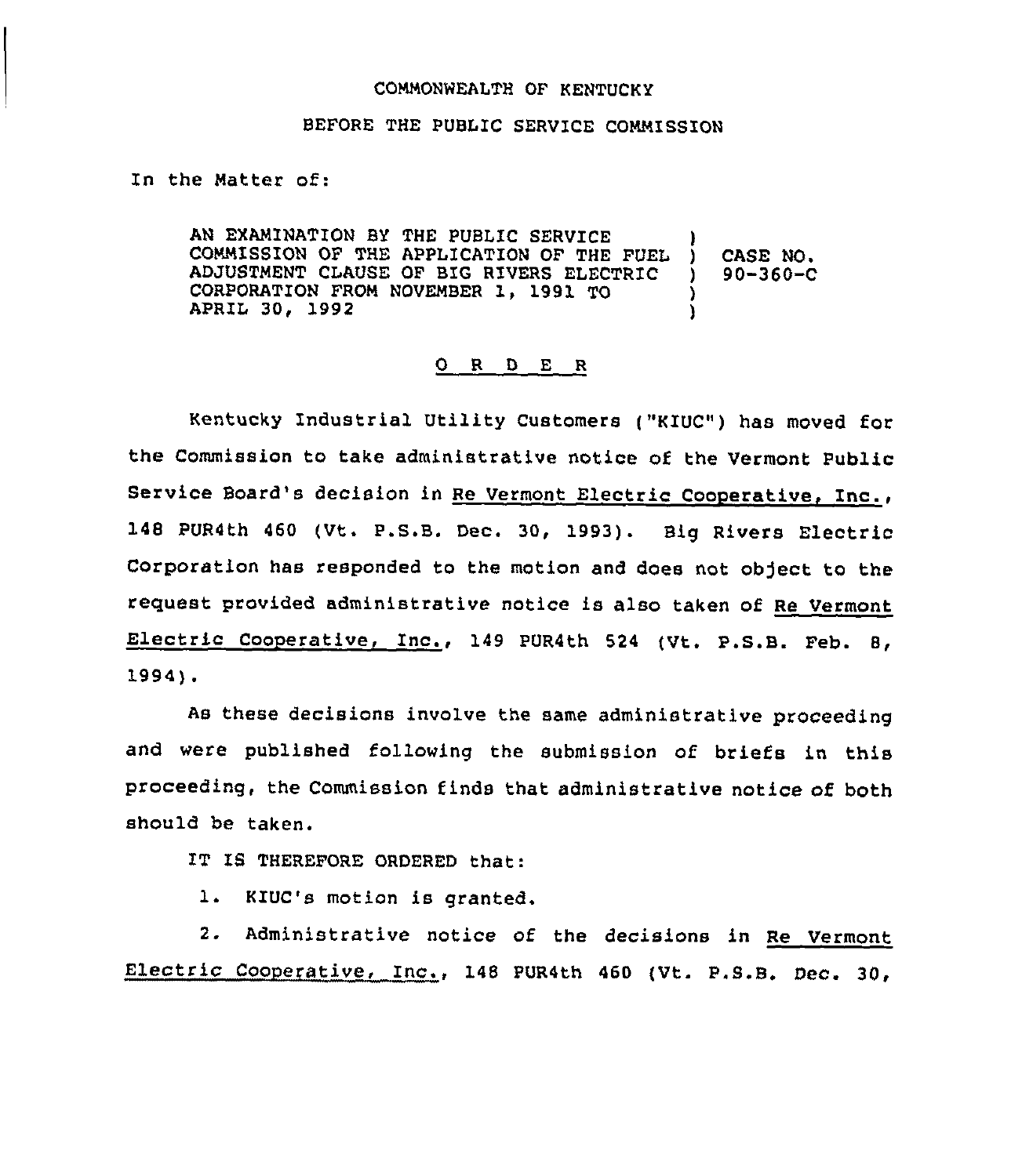## COMMONWEALTH OF KENTUCKY

## BEFORE THE PUBLIC SERVICE COMMISSION

## In the Matter of:

AN EXAMINATION BY THE PUBLIC SERVICE COMMISSION OF THE APPLICATION OF THE FUEL ) CASE NO.<br>ADJUSTMENT CLAUSE OF BIG RIVERS ELECTRIC ) 90-360-C ADJUSTMENT CLAUSE OF BIG RIVERS ELECTRIC )<br>CORPORATION FROM NOVEMBER 1, 1991 TO ) CORPORATION FROM NOVEMBER 1, 1991 TO )<br>APRIL 30, 1992 (1992) APRIL 30, 1992 )

## 0 R D E R

Kentucky Industrial Utility Customers ("KIUC") has moved for the Commission to take administrative notice of the Vermont Public Service Board's decision in Re Vermont Electric Cooperative, Inc., 148 PUR4th <sup>460</sup> (Vt. P.S.B. Dec. 30, 1993). Big Rivers Electric Corporation has responded to the motion and does not object to the request provided administrative notice is also taken of Re Vermont Electric Cooperative, Inc., 149 PUR4th 524 (Vt. P.S.B. Feb. 8, 1994).

As these decisions involve the same administrative proceeding and were published following the submission of briefs in this proceeding, the Commission finds that administrative notice of both should be taken.

IT IS THEREFORE ORDERED that:

1. KIUC's motion is granted.

2. Administrative notice of the decisions in Re Vermont Electric Cooperative, Inc., <sup>148</sup> PUR4th <sup>460</sup> (Vt. P.S.B. Dec. 30,